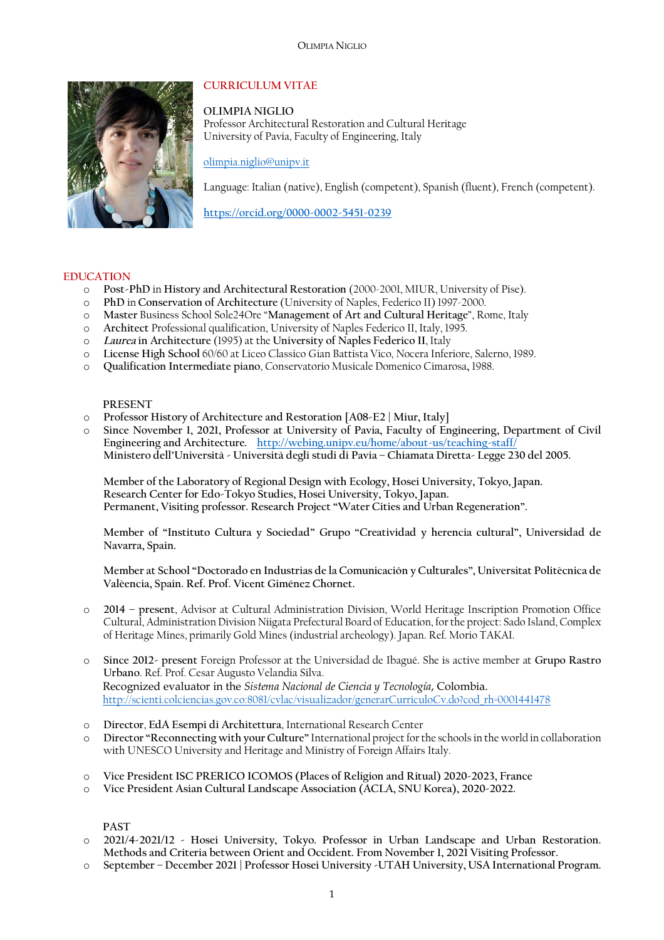

# **CURRICULUM VITAE**

**OLIMPIA NIGLIO** Professor Architectural Restoration and Cultural Heritage University of Pavia, Faculty of Engineering, Italy

olimpia.niglio@unipv.it

Language: Italian (native), English (competent), Spanish (fluent), French (competent).

**https://orcid.org/0000-0002-5451-0239**

#### **EDUCATION**

- o **Post-PhD** in **History and Architectural Restoration** (2000-2001, MIUR, University of Pise).
- o **PhD** in **Conservation of Architecture** (University of Naples, Federico II) 1997-2000.
- o **Master** Business School Sole24Ore "**Management of Art and Cultural Heritage**", Rome, Italy
- o **Architect** Professional qualification, University of Naples Federico II, Italy, 1995.
- o *Laurea* **in Architecture** (1995) at the **University of Naples Federico II**, Italy
- o **License High School** 60/60 at Liceo Classico Gian Battista Vico, Nocera Inferiore, Salerno, 1989.
- o **Qualification Intermediate piano**, Conservatorio Musicale Domenico Cimarosa**,** 1988.

#### **PRESENT**

- o **Professor History of Architecture and Restoration [A08-E2 | Miur, Italy]**
- o **Since November 1, 2021, Professor at University of Pavia, Faculty of Engineering, Department of Civil Engineering and Architecture. http://webing.unipv.eu/home/about-us/teaching-staff/ Ministero dell'Università - Università degli studi di Pavia – Chiamata Diretta- Legge 230 del 2005.**

**Member of the Laboratory of Regional Design with Ecology, Hosei University, Tokyo, Japan. Research Center for Edo-Tokyo Studies, Hosei University, Tokyo, Japan. Permanent, Visiting professor. Research Project "Water Cities and Urban Regeneration".**

**Member of "Instituto Cultura y Sociedad" Grupo "Creatividad y herencia cultural", Universidad de Navarra, Spain.**

**Member at School "Doctorado en Industrias de la Comunicación y Culturales", Universitat Politècnica de Valèencia, Spain. Ref. Prof. Vicent Giménez Chornet.**

- o **2014 – present**, Advisor at Cultural Administration Division, World Heritage Inscription Promotion Office Cultural, Administration Division Niigata Prefectural Board of Education, for the project: Sado Island, Complex of Heritage Mines, primarily Gold Mines (industrial archeology). Japan. Ref. Morio TAKAI.
- o **Since 2012- present** Foreign Professor at the Universidad de Ibagué. She is active member at **Grupo Rastro Urbano**. Ref. Prof. Cesar Augusto Velandia Silva. Recognized evaluator in the *Sistema Nacional de Ciencia y Tecnología*, Colombia. http://scienti.colciencias.gov.co:8081/cvlac/visualizador/generarCurriculoCv.do?cod\_rh=0001441478
- o **Director**, **EdA Esempi di Architettura**, International Research Center
- o **Director "Reconnecting with your Culture"** International project for the schools in the world in collaboration with UNESCO University and Heritage and Ministry of Foreign Affairs Italy.
- o **Vice President ISC PRERICO ICOMOS (Places of Religion and Ritual) 2020-2023, France**
- o **Vice President Asian Cultural Landscape Association (ACLA, SNU Korea), 2020-2022.**

# **PAST**

- o **2021/4-2021/12 - Hosei University, Tokyo. Professor in Urban Landscape and Urban Restoration. Methods and Criteria between Orient and Occident. From November 1, 2021 Visiting Professor.**
- o **September – December 2021 | Professor Hosei University -UTAH University, USA International Program.**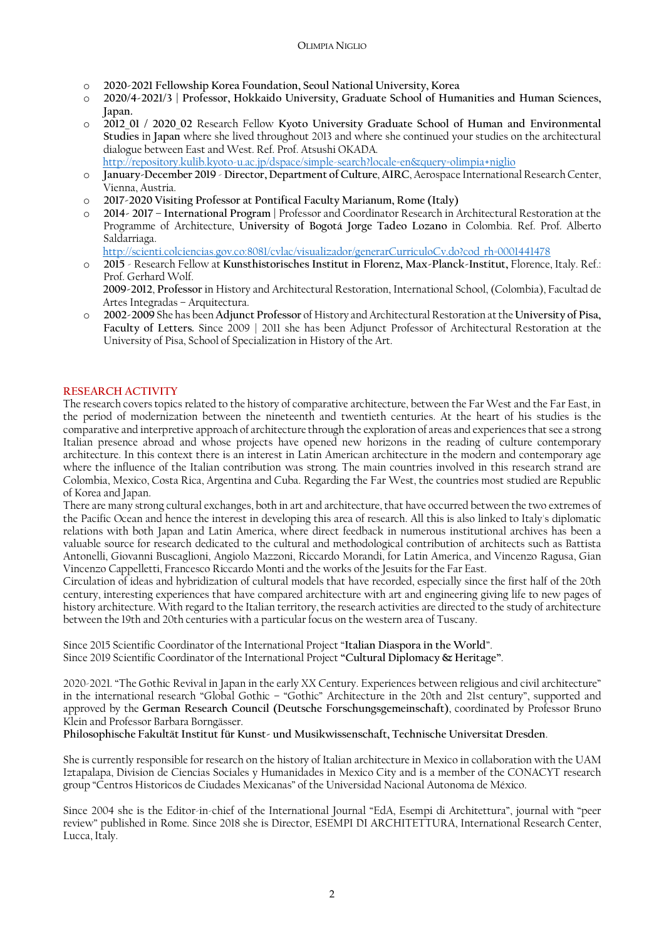#### OLIMPIA NIGLIO

- o **2020-2021 Fellowship Korea Foundation, Seoul National University, Korea**
- o **2020/4-2021/3 | Professor, Hokkaido University, Graduate School of Humanities and Human Sciences, Japan.**
- o **2012\_01 / 2020\_02** Research Fellow **Kyoto University Graduate School of Human and Environmental Studies** in **Japan** where she lived throughout 2013 and where she continued your studies on the architectural dialogue between East and West. Ref. Prof. Atsushi OKADA. http://repository.kulib.kyoto-u.ac.jp/dspace/simple-search?locale=en&query=olimpia+niglio
- o **January-December 2019 Director, Department of Culture**, **AIRC**, Aerospace International Research Center, Vienna, Austria.
- o **2017-2020 Visiting Professor at Pontifical Faculty Marianum, Rome (Italy)**
- o **2014- 2017 – International Program |** Professor and Coordinator Research in Architectural Restoration at the Programme of Architecture, **University of Bogotá Jorge Tadeo Lozano** in Colombia. Ref. Prof. Alberto Saldarriaga.
	- http://scienti.colciencias.gov.co:8081/cvlac/visualizador/generarCurriculoCv.do?cod\_rh=0001441478
- o **2015** Research Fellow at **Kunsthistorisches Institut in Florenz, Max-Planck-Institut,** Florence, Italy. Ref.: Prof. Gerhard Wolf. **2009-2012**, **Professor** in History and Architectural Restoration, International School, (Colombia), Facultad de
	- Artes Integradas Arquitectura.
- o **2002-2009** She has been **Adjunct Professor** of History and Architectural Restoration at the **University of Pisa, Faculty of Letters.** Since 2009 | 2011 she has been Adjunct Professor of Architectural Restoration at the University of Pisa, School of Specialization in History of the Art.

# **RESEARCH ACTIVITY**

The research covers topics related to the history of comparative architecture, between the Far West and the Far East, in the period of modernization between the nineteenth and twentieth centuries. At the heart of his studies is the comparative and interpretive approach of architecture through the exploration of areas and experiences that see a strong Italian presence abroad and whose projects have opened new horizons in the reading of culture contemporary architecture. In this context there is an interest in Latin American architecture in the modern and contemporary age where the influence of the Italian contribution was strong. The main countries involved in this research strand are Colombia, Mexico, Costa Rica, Argentina and Cuba. Regarding the Far West, the countries most studied are Republic of Korea and Japan.

There are many strong cultural exchanges, both in art and architecture, that have occurred between the two extremes of the Pacific Ocean and hence the interest in developing this area of research. All this is also linked to Italy's diplomatic relations with both Japan and Latin America, where direct feedback in numerous institutional archives has been a valuable source for research dedicated to the cultural and methodological contribution of architects such as Battista Antonelli, Giovanni Buscaglioni, Angiolo Mazzoni, Riccardo Morandi, for Latin America, and Vincenzo Ragusa, Gian Vincenzo Cappelletti, Francesco Riccardo Monti and the works of the Jesuits for the Far East.

Circulation of ideas and hybridization of cultural models that have recorded, especially since the first half of the 20th century, interesting experiences that have compared architecture with art and engineering giving life to new pages of history architecture. With regard to the Italian territory, the research activities are directed to the study of architecture between the 19th and 20th centuries with a particular focus on the western area of Tuscany.

Since 2015 Scientific Coordinator of the International Project "**Italian Diaspora in the World**". Since 2019 Scientific Coordinator of the International Project **"Cultural Diplomacy & Heritage"**.

2020-2021. "The Gothic Revival in Japan in the early XX Century. Experiences between religious and civil architecture" in the international research "Global Gothic – "Gothic" Architecture in the 20th and 21st century", supported and approved by the **German Research Council (Deutsche Forschungsgemeinschaft)**, coordinated by Professor Bruno Klein and Professor Barbara Borngässer.

**Philosophische Fakultät Institut für Kunst- und Musikwissenschaft, Technische Universitat Dresden**.

She is currently responsible for research on the history of Italian architecture in Mexico in collaboration with the UAM Iztapalapa, Division de Ciencias Sociales y Humanidades in Mexico City and is a member of the CONACYT research group "Centros Historicos de Ciudades Mexicanas" of the Universidad Nacional Autonoma de México.

Since 2004 she is the Editor-in-chief of the International Journal "EdA, Esempi di Architettura", journal with "peer review" published in Rome. Since 2018 she is Director, ESEMPI DI ARCHITETTURA, International Research Center, Lucca, Italy.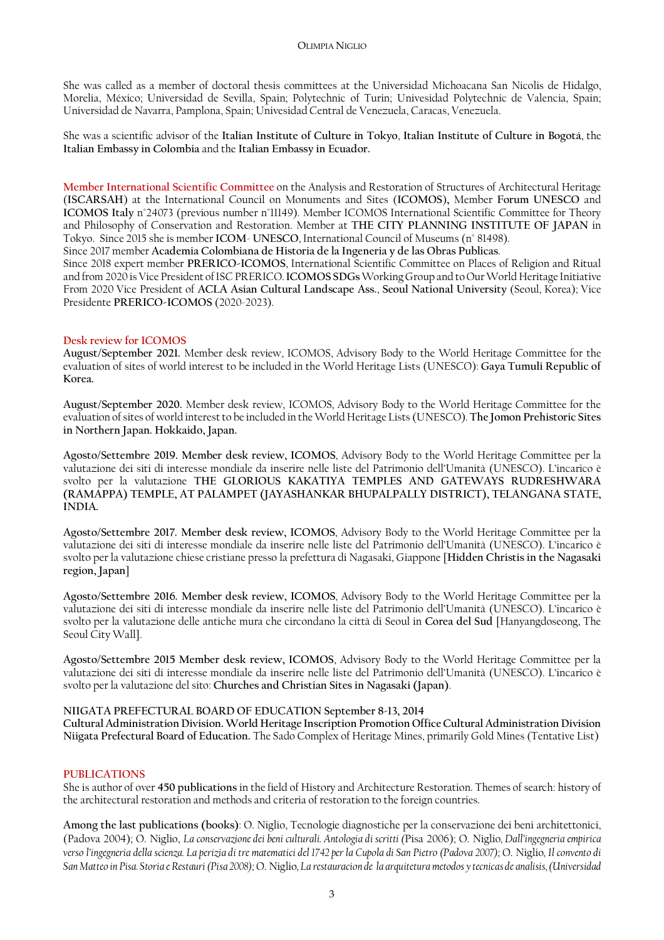She was called as a member of doctoral thesis committees at the Universidad Michoacana San Nicolis de Hidalgo, Morelia, México; Universidad de Sevilla, Spain; Polytechnic of Turin; Univesidad Polytechnic de Valencia, Spain; Universidad de Navarra, Pamplona, Spain; Univesidad Central de Venezuela, Caracas, Venezuela.

She was a scientific advisor of the **Italian Institute of Culture in Tokyo**, **Italian Institute of Culture in Bogotá**, the **Italian Embassy in Colombia** and the **Italian Embassy in Ecuador.**

**Member International Scientific Committee** on the Analysis and Restoration of Structures of Architectural Heritage (**ISCARSAH**) at the International Council on Monuments and Sites (**ICOMOS**)**,** Member **Forum UNESCO** and **ICOMOS Italy** n°24073 (previous number n°11149). Member ICOMOS International Scientific Committee for Theory and Philosophy of Conservation and Restoration. Member at **THE CITY PLANNING INSTITUTE OF JAPAN** in Tokyo. Since 2015 she is member **ICOM**- **UNESCO**, International Council of Museums (n° 81498).

Since 2017 member **Academia Colombiana de Historia de la Ingeneria y de las Obras Publicas**.

Since 2018 expert member **PRERICO-ICOMOS**, International Scientific Committee on Places of Religion and Ritual and from 2020 is Vice President of ISC PRERICO.**ICOMOS SDGs**Working Group and to Our World Heritage Initiative From 2020 Vice President of **ACLA Asian Cultural Landscape Ass.**, **Seoul National University** (Seoul, Korea); Vice Presidente **PRERICO-ICOMOS** (2020-2023).

# **Desk review for ICOMOS**

**August/September 2021.** Member desk review, ICOMOS, Advisory Body to the World Heritage Committee for the evaluation of sites of world interest to be included in the World Heritage Lists (UNESCO): **Gaya Tumuli Republic of Korea.**

**August/September 2020.** Member desk review, ICOMOS, Advisory Body to the World Heritage Committee for the evaluation of sites of world interest to be included in the World Heritage Lists(UNESCO). **The Jomon Prehistoric Sites in Northern Japan. Hokkaido, Japan.**

**Agosto/Settembre 2019. Member desk review, ICOMOS**, Advisory Body to the World Heritage Committee per la valutazione dei siti di interesse mondiale da inserire nelle liste del Patrimonio dell'Umanità (UNESCO). L'incarico è svolto per la valutazione **THE GLORIOUS KAKATIYA TEMPLES AND GATEWAYS RUDRESHWARA (RAMAPPA) TEMPLE, AT PALAMPET (JAYASHANKAR BHUPALPALLY DISTRICT), TELANGANA STATE, INDIA.**

**Agosto/Settembre 2017. Member desk review, ICOMOS**, Advisory Body to the World Heritage Committee per la valutazione dei siti di interesse mondiale da inserire nelle liste del Patrimonio dell'Umanità (UNESCO). L'incarico è svolto per la valutazione chiese cristiane presso la prefettura di Nagasaki, Giappone [**Hidden Christis in the Nagasaki region, Japan**]

**Agosto/Settembre 2016. Member desk review, ICOMOS**, Advisory Body to the World Heritage Committee per la valutazione dei siti di interesse mondiale da inserire nelle liste del Patrimonio dell'Umanità (UNESCO). L'incarico è svolto per la valutazione delle antiche mura che circondano la città di Seoul in **Corea del Sud** [Hanyangdoseong, The Seoul City Wall].

**Agosto/Settembre 2015 Member desk review, ICOMOS**, Advisory Body to the World Heritage Committee per la valutazione dei siti di interesse mondiale da inserire nelle liste del Patrimonio dell'Umanità (UNESCO). L'incarico è svolto per la valutazione del sito: **Churches and Christian Sites in Nagasaki (Japan)**.

# **NIIGATA PREFECTURAL BOARD OF EDUCATION September 8-13, 2014**

**Cultural Administration Division. World Heritage Inscription Promotion Office Cultural Administration Division Niigata Prefectural Board of Education.** The Sado Complex of Heritage Mines, primarily Gold Mines (Tentative List)

# **PUBLICATIONS**

She is author of over **450 publications** in the field of History and Architecture Restoration. Themes of search: history of the architectural restoration and methods and criteria of restoration to the foreign countries.

**Among the last publications (books)**: O. Niglio, Tecnologie diagnostiche per la conservazione dei beni architettonici, (Padova 2004); O. Niglio, *La conservazione dei beni culturali. Antologia di scritti (*Pisa 2006); O. Niglio*, Dall'ingegneria empirica verso l'ingegneria della scienza. La perizia di tre matematici del 1742 per la Cupola di San Pietro (Padova 2007);* O. Niglio*, Il convento di San Matteo in Pisa. Storia e Restauri (Pisa 2008);* O. Niglio*, La restauracion de la arquitetura metodos y tecnicas de analisis, (Universidad*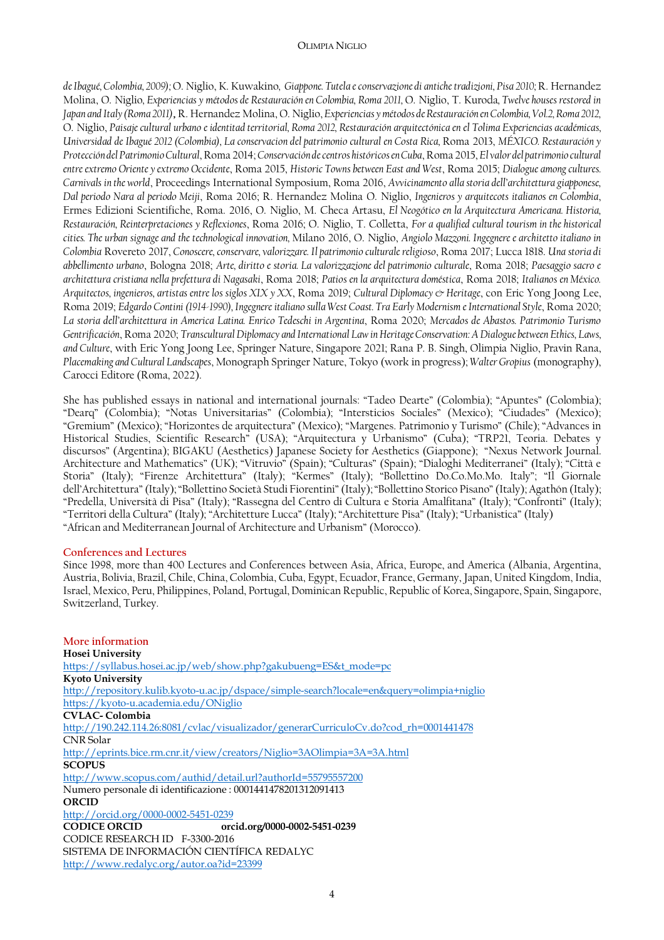#### OLIMPIA NIGLIO

*de Ibagué, Colombia, 2009);* O. Niglio, K. Kuwakino*, Giappone. Tutela e conservazione di antiche tradizioni, Pisa 2010;* R. Hernandez Molina, O. Niglio*, Experiencias y métodos de Restauración en Colombia, Roma 2011,* O. Niglio, T. Kuroda*, Twelve houses restored in Japan and Italy (Roma 2011),* R. Hernandez Molina, O. Niglio, *Experiencias y métodos de Restauración en Colombia, Vol.2, Roma 2012,*  O. Niglio, *Paisaje cultural urbano e identitad territorial, Roma 2012, Restauración arquitectónica en el Tolima Experiencias académicas, Universidad de Ibagué 2012 (Colombia), La conservacion del patrimonio cultural en Costa Rica,* Roma 2013, *MÉXICO. Restauración y Protección del Patrimonio Cultural*, Roma 2014; *Conservación de centros históricos en Cuba*, Roma 2015, *El valor del patrimonio cultural entre extremo Oriente y extremo Occidente*, Roma 2015, *Historic Towns between East and West*, Roma 2015; *Dialogue among cultures. Carnivals in the world*, Proceedings International Symposium, Roma 2016, *Avvicinamento alla storia dell'architettura giapponese, Dal periodo Nara al periodo Meiji*, Roma 2016; R. Hernandez Molina O. Niglio, *Ingenieros y arquitecots italianos en Colombia*, Ermes Edizioni Scientifiche, Roma. 2016, O. Niglio, M. Checa Artasu, *El Neogótico en la Arquitectura Americana. Historia, Restauración, Reinterpretaciones y Reflexiones*, Roma 2016; O. Niglio, T. Colletta, *For a qualified cultural tourism in the historical cities. The urban signage and the technological innovation,* Milano 2016, O. Niglio, *Angiolo Mazzoni. Ingegnere e architetto italiano in Colombia* Rovereto 2017, *Conoscere, conservare, valorizzare. Il patrimonio culturale religioso*, Roma 2017; Lucca 1818. *Una storia di abbellimento urbano*, Bologna 2018; *Arte, diritto e storia. La valorizzazione del patrimonio culturale*, Roma 2018; *Paesaggio sacro e architettura cristiana nella prefettura di Nagasaki*, Roma 2018; *Patios en la arquitectura doméstica*, Roma 2018; *Italianos en México. Arquitectos, ingenieros, artistas entre los siglos XIX y XX*, Roma 2019; *Cultural Diplomacy & Heritage*, con Eric Yong Joong Lee, Roma 2019; *Edgardo Contini (1914-1990), Ingegnere italiano sulla West Coast. Tra Early Modernism e International Style*, Roma 2020; *La storia dell'architettura in America Latina. Enrico Tedeschi in Argentina*, Roma 2020; *Mercados de Abastos. Patrimonio Turismo Gentrificación*, Roma 2020; *Transcultural Diplomacy and International Law in Heritage Conservation: A Dialogue between Ethics, Laws, and Culture*, with Eric Yong Joong Lee, Springer Nature, Singapore 2021; Rana P. B. Singh, Olimpia Niglio, Pravin Rana, *Placemaking and Cultural Landscapes*, Monograph Springer Nature, Tokyo (work in progress); *Walter Gropius* (monography), Carocci Editore (Roma, 2022).

She has published essays in national and international journals: "Tadeo Dearte" (Colombia); "Apuntes" (Colombia); "Dearq" (Colombia); "Notas Universitarias" (Colombia); "Intersticios Sociales" (Mexico); "Ciudades" (Mexico); "Gremium" (Mexico); "Horizontes de arquitectura" (Mexico); "Margenes. Patrimonio y Turismo" (Chile); "Advances in Historical Studies, Scientific Research" (USA); "Arquitectura y Urbanismo" (Cuba); "TRP21, Teoria. Debates y discursos" (Argentina); BIGAKU (Aesthetics) Japanese Society for Aesthetics (Giappone); "Nexus Network Journal. Architecture and Mathematics" (UK); "Vitruvio" (Spain); "Culturas" (Spain); "Dialoghi Mediterranei" (Italy); "Città e Storia" (Italy); "Firenze Architettura" (Italy); "Kermes" (Italy); "Bollettino Do.Co.Mo.Mo. Italy"; "Il Giornale dell'Architettura" (Italy); "Bollettino Società Studi Fiorentini" (Italy); "Bollettino Storico Pisano" (Italy); Agathón (Italy); "Predella, Università di Pisa" (Italy); "Rassegna del Centro di Cultura e Storia Amalfitana" (Italy); "Confronti" (Italy); "Territori della Cultura" (Italy); "Architetture Lucca" (Italy); "Architetture Pisa" (Italy); "Urbanistica" (Italy) "African and Mediterranean Journal of Architecture and Urbanism" (Morocco).

#### **Conferences and Lectures**

Since 1998, more than 400 Lectures and Conferences between Asia, Africa, Europe, and America (Albania, Argentina, Austria, Bolivia, Brazil, Chile, China, Colombia, Cuba, Egypt, Ecuador, France, Germany, Japan, United Kingdom, India, Israel, Mexico, Peru, Philippines, Poland, Portugal, Dominican Republic, Republic of Korea, Singapore, Spain, Singapore, Switzerland, Turkey.

**More information Hosei University** https://syllabus.hosei.ac.jp/web/show.php?gakubueng=ES&t\_mode=pc **Kyoto University** http://repository.kulib.kyoto-u.ac.jp/dspace/simple-search?locale=en&query=olimpia+niglio https://kyoto-u.academia.edu/ONiglio **CVLAC- Colombia** http://190.242.114.26:8081/cvlac/visualizador/generarCurriculoCv.do?cod\_rh=0001441478 CNR Solar http://eprints.bice.rm.cnr.it/view/creators/Niglio=3AOlimpia=3A=3A.html **SCOPUS** http://www.scopus.com/authid/detail.url?authorId=55795557200 Numero personale di identificazione : 0001441478201312091413 **ORCID** http://orcid.org/0000-0002-5451-0239 **CODICE ORCID orcid.org/0000-0002-5451-0239** CODICE RESEARCH ID F-3300-2016 SISTEMA DE INFORMACIÓN CIENTÍFICA REDALYC

http://www.redalyc.org/autor.oa?id=23399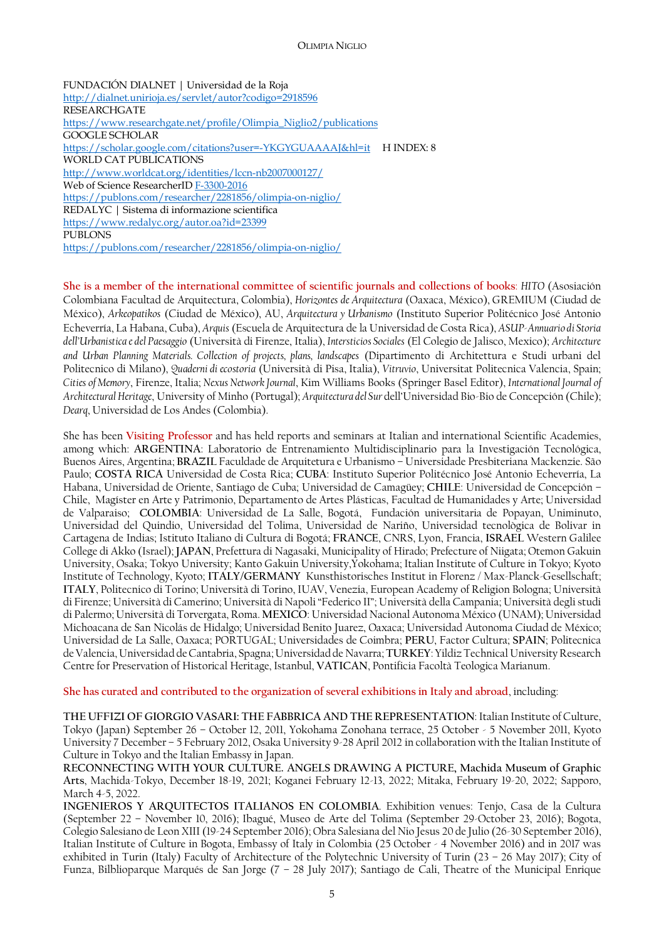FUNDACIÓN DIALNET | Universidad de la Roja http://dialnet.unirioja.es/servlet/autor?codigo=2918596 RESEARCHGATE https://www.researchgate.net/profile/Olimpia\_Niglio2/publications GOOGLE SCHOLAR https://scholar.google.com/citations?user=-YKGYGUAAAAJ&hl=it H INDEX: 8 WORLD CAT PUBLICATIONS http://www.worldcat.org/identities/lccn-nb2007000127/ Web of Science ResearcherID F-3300-2016 https://publons.com/researcher/2281856/olimpia-on-niglio/ REDALYC | Sistema di informazione scientifica https://www.redalyc.org/autor.oa?id=23399 PUBLONS https://publons.com/researcher/2281856/olimpia-on-niglio/

**She is a member of the international committee of scientific journals and collections of books**: *HITO* (Asosiación Colombiana Facultad de Arquitectura, Colombia), *Horizontes de Arquitectura* (Oaxaca, México), GREMIUM (Ciudad de México), *Arkeopatikos* (Ciudad de México), AU, *Arquitectura y Urbanismo* (Instituto Superior Politécnico José Antonio Echeverría, La Habana, Cuba), *Arquis* (Escuela de Arquitectura de la Universidad de Costa Rica), *ASUP-Annuario di Storia dell'Urbanistica e del Paesaggio* (Università di Firenze, Italia), *Intersticios Sociales* (El Colegio de Jalisco, Mexico); *Architecture and Urban Planning Materials. Collection of projects, plans, landscapes* (Dipartimento di Architettura e Studi urbani del Politecnico di Milano), *Quaderni di ecostoria* (Università di Pisa, Italia), *Vitruvio*, Universitat Politecnica Valencia, Spain; *Cities of Memory*, Firenze, Italia; *Nexus Network Journal*, Kim Williams Books (Springer Basel Editor), *International Journal of Architectural Heritage*, University of Minho (Portugal); *Arquitectura del Sur* dell'Universidad Bio-Bio de Concepción (Chile); *Dearq*, Universidad de Los Andes (Colombia).

She has been **Visiting Professor** and has held reports and seminars at Italian and international Scientific Academies, among which: **ARGENTINA**: Laboratorio de Entrenamiento Multidisciplinario para la Investigación Tecnológica, Buenos Aires, Argentina; **BRAZIL** Faculdade de Arquitetura e Urbanismo – Universidade Presbiteriana Mackenzie. São Paulo; **COSTA RICA** Universidad de Costa Rica; **CUBA**: Instituto Superior Politécnico José Antonio Echeverría, La Habana, Universidad de Oriente, Santiago de Cuba; Universidad de Camagüey; **CHILE**: Universidad de Concepción – Chile, Magíster en Arte y Patrimonio, Departamento de Artes Plásticas, Facultad de Humanidades y Arte; Universidad de Valparaiso; **COLOMBIA**: Universidad de La Salle, Bogotá, Fundación universitaria de Popayan, Uniminuto, Universidad del Quindio, Universidad del Tolima, Universidad de Nariño, Universidad tecnològica de Bolivar in Cartagena de Indias; Istituto Italiano di Cultura di Bogotá; **FRANCE**, CNRS, Lyon, Francia, **ISRAEL** Western Galilee College di Akko (Israel); **JAPAN**, Prefettura di Nagasaki, Municipality of Hirado; Prefecture of Niigata; Otemon Gakuin University, Osaka; Tokyo University; Kanto Gakuin University,Yokohama; Italian Institute of Culture in Tokyo; Kyoto Institute of Technology, Kyoto; **ITALY/GERMANY** Kunsthistorisches Institut in Florenz / Max-Planck-Gesellschaft; **ITALY**, Politecnico di Torino; Università di Torino, IUAV, Venezia, European Academy of Religion Bologna; Università di Firenze; Università di Camerino; Università di Napoli "Federico II"; Università della Campania; Università degli studi di Palermo; Università di Torvergata, Roma. **MEXICO**: Universidad Nacional Autonoma México (UNAM); Universidad Michoacana de San Nicolás de Hidalgo; Universidad Benito Juarez, Oaxaca; Universidad Autonoma Ciudad de México; Universidad de La Salle, Oaxaca; PORTUGAL; Universidades de Coimbra; **PERU**, Factor Cultura; **SPAIN**; Politecnica de Valencia, Universidad de Cantabria, Spagna; Universidad de Navarra; **TURKEY**: Yildiz Technical University Research Centre for Preservation of Historical Heritage, Istanbul, **VATICAN**, Pontificia Facoltà Teologica Marianum.

**She has curated and contributed to the organization of several exhibitions in Italy and abroad**, including:

**THE UFFIZI OF GIORGIO VASARI: THE FABBRICA AND THE REPRESENTATION**: Italian Institute of Culture, Tokyo (Japan) September 26 – October 12, 2011, Yokohama Zonohana terrace, 25 October - 5 November 2011, Kyoto University 7 December – 5 February 2012, Osaka University 9-28 April 2012 in collaboration with the Italian Institute of Culture in Tokyo and the Italian Embassy in Japan.

**RECONNECTING WITH YOUR CULTURE. ANGELS DRAWING A PICTURE, Machida Museum of Graphic Arts**, Machida-Tokyo, December 18-19, 2021; Koganei February 12-13, 2022; Mitaka, February 19-20, 2022; Sapporo, March 4-5, 2022.

**INGENIEROS Y ARQUITECTOS ITALIANOS EN COLOMBIA**. Exhibition venues: Tenjo, Casa de la Cultura (September 22 – November 10, 2016); Ibagué, Museo de Arte del Tolima (September 29-October 23, 2016); Bogota, Colegio Salesiano de Leon XIII (19-24 September 2016); Obra Salesiana del Nio Jesus 20 de Julio (26-30 September 2016), Italian Institute of Culture in Bogota, Embassy of Italy in Colombia (25 October - 4 November 2016) and in 2017 was exhibited in Turin (Italy) Faculty of Architecture of the Polytechnic University of Turin (23 – 26 May 2017); City of Funza, Bilblioparque Marqués de San Jorge (7 – 28 July 2017); Santiago de Cali, Theatre of the Municipal Enrique